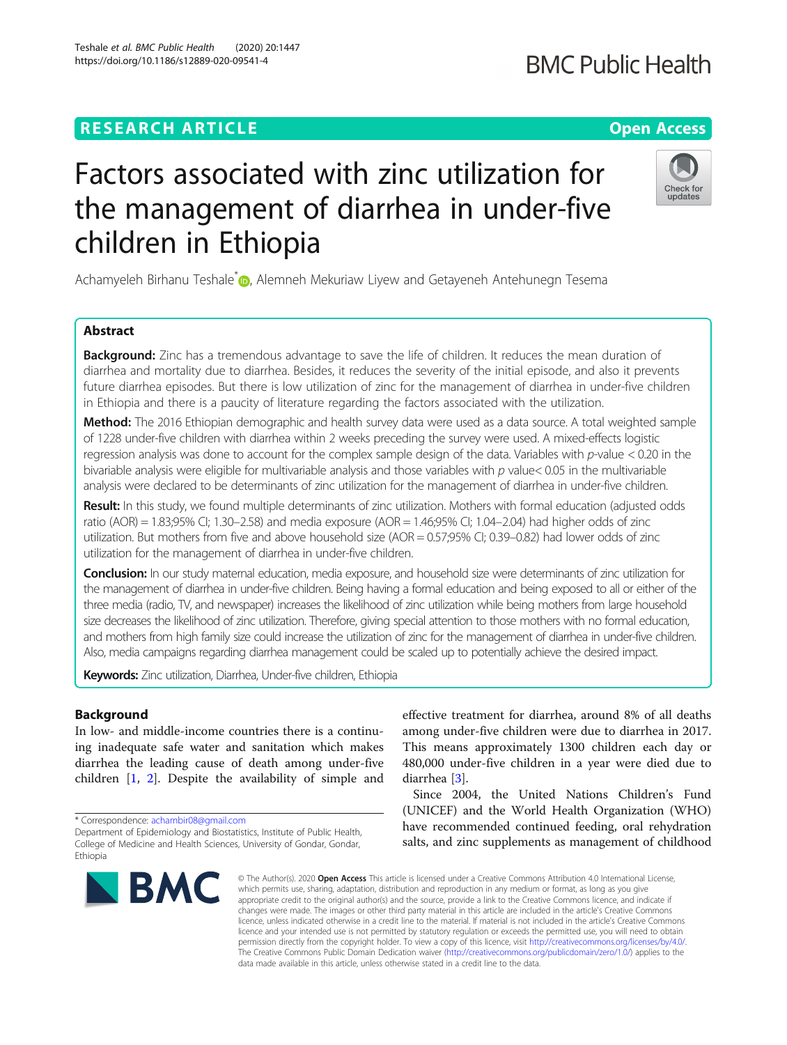## **RESEARCH ARTICLE Example 2014 12:30 The Contract of Contract ACCESS**

# Factors associated with zinc utilization for the management of diarrhea in under-five children in Ethiopia

Achamyeleh Birhanu Teshale<sup>[\\*](http://orcid.org/0000-0002-7572-9993)</sup> <sub>(b)</sub>, Alemneh Mekuriaw Liyew and Getayeneh Antehunegn Tesema

### Abstract

**Background:** Zinc has a tremendous advantage to save the life of children. It reduces the mean duration of diarrhea and mortality due to diarrhea. Besides, it reduces the severity of the initial episode, and also it prevents future diarrhea episodes. But there is low utilization of zinc for the management of diarrhea in under-five children in Ethiopia and there is a paucity of literature regarding the factors associated with the utilization.

Method: The 2016 Ethiopian demographic and health survey data were used as a data source. A total weighted sample of 1228 under-five children with diarrhea within 2 weeks preceding the survey were used. A mixed-effects logistic regression analysis was done to account for the complex sample design of the data. Variables with  $p$ -value < 0.20 in the bivariable analysis were eligible for multivariable analysis and those variables with  $p$  value< 0.05 in the multivariable analysis were declared to be determinants of zinc utilization for the management of diarrhea in under-five children.

Result: In this study, we found multiple determinants of zinc utilization. Mothers with formal education (adjusted odds ratio (AOR) = 1.83;95% CI; 1.30–2.58) and media exposure (AOR = 1.46;95% CI; 1.04–2.04) had higher odds of zinc utilization. But mothers from five and above household size (AOR = 0.57;95% CI; 0.39–0.82) had lower odds of zinc utilization for the management of diarrhea in under-five children.

Conclusion: In our study maternal education, media exposure, and household size were determinants of zinc utilization for the management of diarrhea in under-five children. Being having a formal education and being exposed to all or either of the three media (radio, TV, and newspaper) increases the likelihood of zinc utilization while being mothers from large household size decreases the likelihood of zinc utilization. Therefore, giving special attention to those mothers with no formal education, and mothers from high family size could increase the utilization of zinc for the management of diarrhea in under-five children. Also, media campaigns regarding diarrhea management could be scaled up to potentially achieve the desired impact.

Keywords: Zinc utilization, Diarrhea, Under-five children, Ethiopia

#### Background

In low- and middle-income countries there is a continuing inadequate safe water and sanitation which makes diarrhea the leading cause of death among under-five children [[1,](#page-6-0) [2](#page-6-0)]. Despite the availability of simple and

\* Correspondence: [achambir08@gmail.com](mailto:achambir08@gmail.com)

effective treatment for diarrhea, around 8% of all deaths among under-five children were due to diarrhea in 2017. This means approximately 1300 children each day or 480,000 under-five children in a year were died due to diarrhea [\[3](#page-6-0)].

Since 2004, the United Nations Children's Fund (UNICEF) and the World Health Organization (WHO) have recommended continued feeding, oral rehydration salts, and zinc supplements as management of childhood

© The Author(s). 2020 Open Access This article is licensed under a Creative Commons Attribution 4.0 International License, which permits use, sharing, adaptation, distribution and reproduction in any medium or format, as long as you give appropriate credit to the original author(s) and the source, provide a link to the Creative Commons licence, and indicate if changes were made. The images or other third party material in this article are included in the article's Creative Commons licence, unless indicated otherwise in a credit line to the material. If material is not included in the article's Creative Commons licence and your intended use is not permitted by statutory regulation or exceeds the permitted use, you will need to obtain permission directly from the copyright holder. To view a copy of this licence, visit [http://creativecommons.org/licenses/by/4.0/.](http://creativecommons.org/licenses/by/4.0/) The Creative Commons Public Domain Dedication waiver [\(http://creativecommons.org/publicdomain/zero/1.0/](http://creativecommons.org/publicdomain/zero/1.0/)) applies to the data made available in this article, unless otherwise stated in a credit line to the data.







College of Medicine and Health Sciences, University of Gondar, Gondar, Ethiopia

Department of Epidemiology and Biostatistics, Institute of Public Health,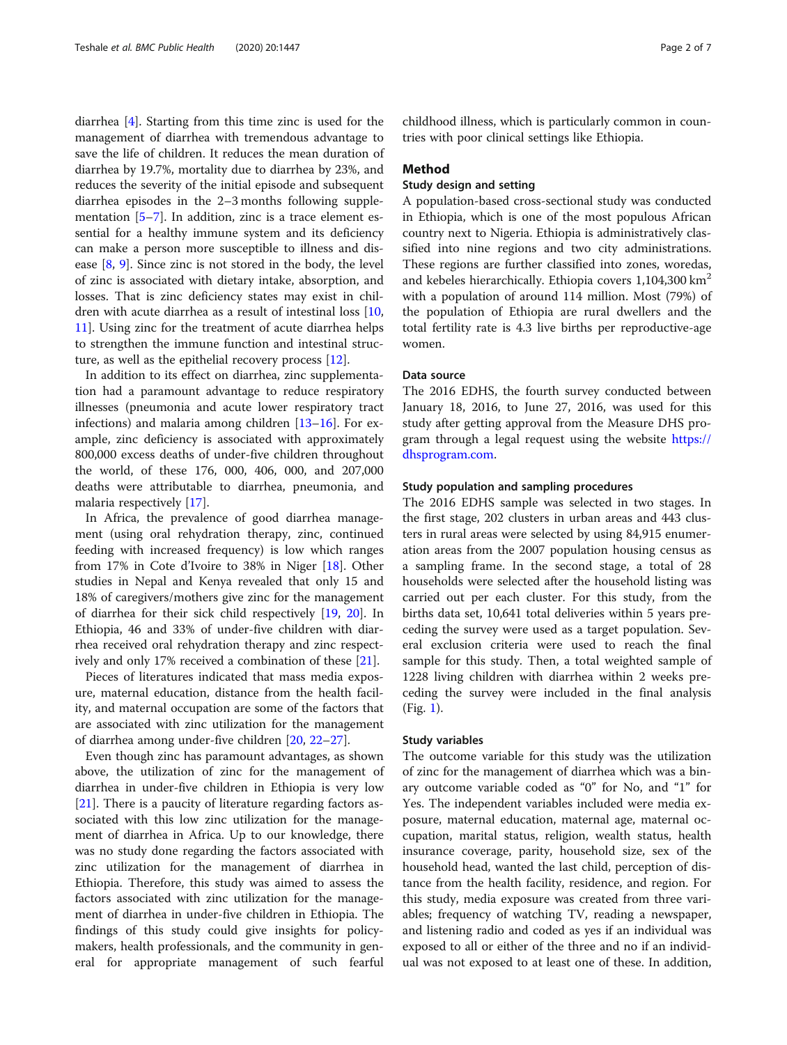diarrhea [\[4\]](#page-6-0). Starting from this time zinc is used for the management of diarrhea with tremendous advantage to save the life of children. It reduces the mean duration of diarrhea by 19.7%, mortality due to diarrhea by 23%, and reduces the severity of the initial episode and subsequent diarrhea episodes in the 2–3 months following supplementation  $[5-7]$  $[5-7]$  $[5-7]$ . In addition, zinc is a trace element essential for a healthy immune system and its deficiency can make a person more susceptible to illness and disease [\[8,](#page-6-0) [9](#page-6-0)]. Since zinc is not stored in the body, the level of zinc is associated with dietary intake, absorption, and losses. That is zinc deficiency states may exist in children with acute diarrhea as a result of intestinal loss [[10](#page-6-0), [11\]](#page-6-0). Using zinc for the treatment of acute diarrhea helps to strengthen the immune function and intestinal structure, as well as the epithelial recovery process [[12\]](#page-6-0).

In addition to its effect on diarrhea, zinc supplementation had a paramount advantage to reduce respiratory illnesses (pneumonia and acute lower respiratory tract infections) and malaria among children [\[13](#page-6-0)–[16\]](#page-6-0). For example, zinc deficiency is associated with approximately 800,000 excess deaths of under-five children throughout the world, of these 176, 000, 406, 000, and 207,000 deaths were attributable to diarrhea, pneumonia, and malaria respectively [\[17](#page-6-0)].

In Africa, the prevalence of good diarrhea management (using oral rehydration therapy, zinc, continued feeding with increased frequency) is low which ranges from 17% in Cote d'Ivoire to 38% in Niger [\[18\]](#page-6-0). Other studies in Nepal and Kenya revealed that only 15 and 18% of caregivers/mothers give zinc for the management of diarrhea for their sick child respectively [[19,](#page-6-0) [20](#page-6-0)]. In Ethiopia, 46 and 33% of under-five children with diarrhea received oral rehydration therapy and zinc respectively and only 17% received a combination of these [\[21](#page-6-0)].

Pieces of literatures indicated that mass media exposure, maternal education, distance from the health facility, and maternal occupation are some of the factors that are associated with zinc utilization for the management of diarrhea among under-five children [\[20](#page-6-0), [22](#page-6-0)–[27\]](#page-6-0).

Even though zinc has paramount advantages, as shown above, the utilization of zinc for the management of diarrhea in under-five children in Ethiopia is very low [[21\]](#page-6-0). There is a paucity of literature regarding factors associated with this low zinc utilization for the management of diarrhea in Africa. Up to our knowledge, there was no study done regarding the factors associated with zinc utilization for the management of diarrhea in Ethiopia. Therefore, this study was aimed to assess the factors associated with zinc utilization for the management of diarrhea in under-five children in Ethiopia. The findings of this study could give insights for policymakers, health professionals, and the community in general for appropriate management of such fearful

childhood illness, which is particularly common in countries with poor clinical settings like Ethiopia.

#### Method

#### Study design and setting

A population-based cross-sectional study was conducted in Ethiopia, which is one of the most populous African country next to Nigeria. Ethiopia is administratively classified into nine regions and two city administrations. These regions are further classified into zones, woredas, and kebeles hierarchically. Ethiopia covers  $1,104,300$  km<sup>2</sup> with a population of around 114 million. Most (79%) of the population of Ethiopia are rural dwellers and the total fertility rate is 4.3 live births per reproductive-age women.

#### Data source

The 2016 EDHS, the fourth survey conducted between January 18, 2016, to June 27, 2016, was used for this study after getting approval from the Measure DHS program through a legal request using the website [https://](https://dhsprogram.com/) [dhsprogram.com.](https://dhsprogram.com/)

#### Study population and sampling procedures

The 2016 EDHS sample was selected in two stages. In the first stage, 202 clusters in urban areas and 443 clusters in rural areas were selected by using 84,915 enumeration areas from the 2007 population housing census as a sampling frame. In the second stage, a total of 28 households were selected after the household listing was carried out per each cluster. For this study, from the births data set, 10,641 total deliveries within 5 years preceding the survey were used as a target population. Several exclusion criteria were used to reach the final sample for this study. Then, a total weighted sample of 1228 living children with diarrhea within 2 weeks preceding the survey were included in the final analysis (Fig. [1](#page-2-0)).

#### Study variables

The outcome variable for this study was the utilization of zinc for the management of diarrhea which was a binary outcome variable coded as "0" for No, and "1" for Yes. The independent variables included were media exposure, maternal education, maternal age, maternal occupation, marital status, religion, wealth status, health insurance coverage, parity, household size, sex of the household head, wanted the last child, perception of distance from the health facility, residence, and region. For this study, media exposure was created from three variables; frequency of watching TV, reading a newspaper, and listening radio and coded as yes if an individual was exposed to all or either of the three and no if an individual was not exposed to at least one of these. In addition,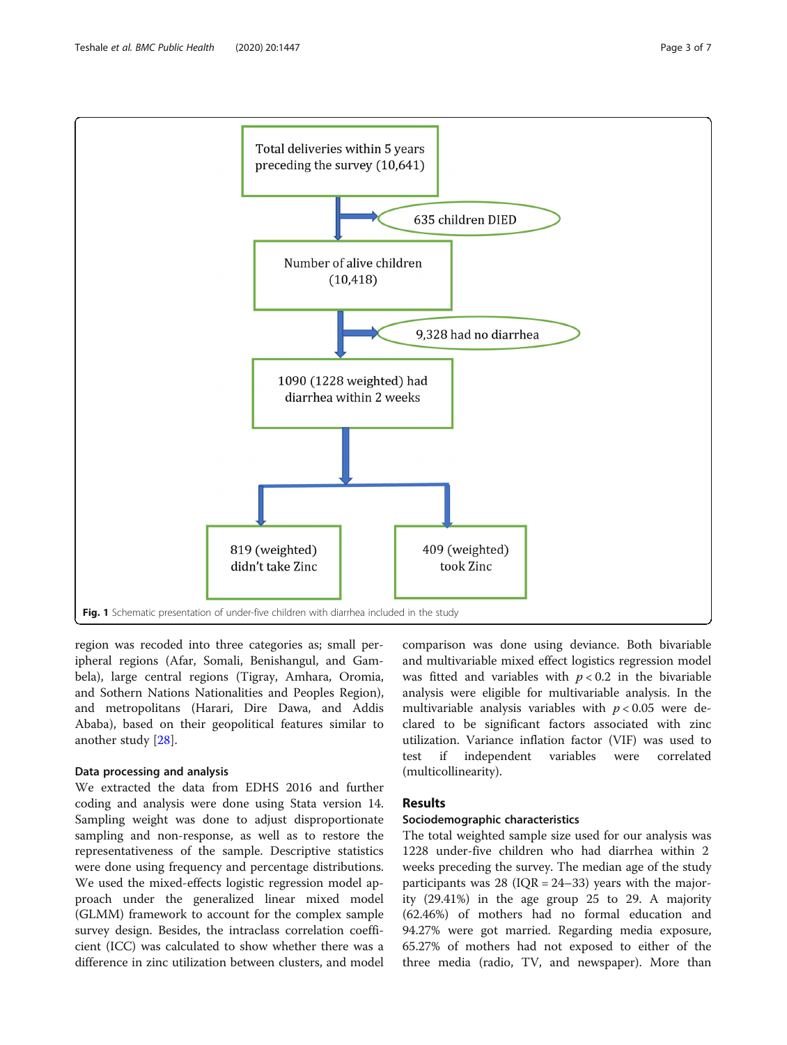<span id="page-2-0"></span>

region was recoded into three categories as; small peripheral regions (Afar, Somali, Benishangul, and Gambela), large central regions (Tigray, Amhara, Oromia, and Sothern Nations Nationalities and Peoples Region), and metropolitans (Harari, Dire Dawa, and Addis Ababa), based on their geopolitical features similar to another study [\[28\]](#page-6-0).

#### Data processing and analysis

We extracted the data from EDHS 2016 and further coding and analysis were done using Stata version 14. Sampling weight was done to adjust disproportionate sampling and non-response, as well as to restore the representativeness of the sample. Descriptive statistics were done using frequency and percentage distributions. We used the mixed-effects logistic regression model approach under the generalized linear mixed model (GLMM) framework to account for the complex sample survey design. Besides, the intraclass correlation coefficient (ICC) was calculated to show whether there was a difference in zinc utilization between clusters, and model

comparison was done using deviance. Both bivariable and multivariable mixed effect logistics regression model was fitted and variables with  $p < 0.2$  in the bivariable analysis were eligible for multivariable analysis. In the multivariable analysis variables with  $p < 0.05$  were declared to be significant factors associated with zinc utilization. Variance inflation factor (VIF) was used to test if independent variables were correlated (multicollinearity).

#### Results

#### Sociodemographic characteristics

The total weighted sample size used for our analysis was 1228 under-five children who had diarrhea within 2 weeks preceding the survey. The median age of the study participants was 28 ( $IQR = 24-33$ ) years with the majority (29.41%) in the age group 25 to 29. A majority (62.46%) of mothers had no formal education and 94.27% were got married. Regarding media exposure, 65.27% of mothers had not exposed to either of the three media (radio, TV, and newspaper). More than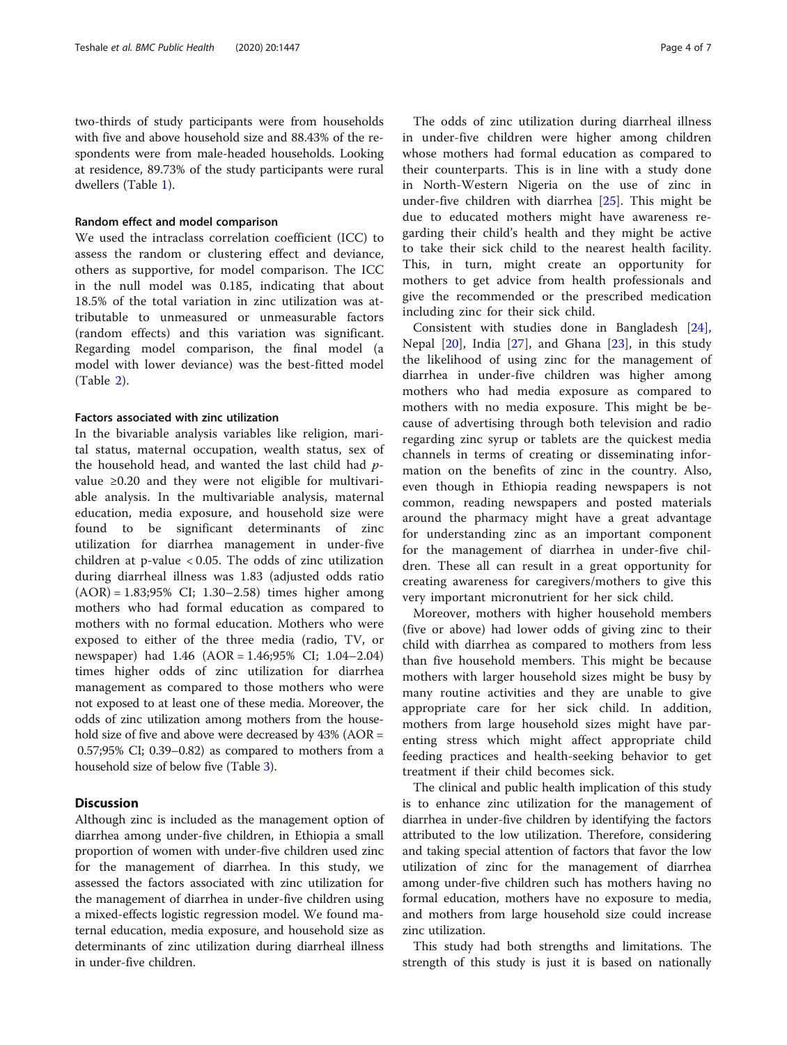two-thirds of study participants were from households with five and above household size and 88.43% of the respondents were from male-headed households. Looking at residence, 89.73% of the study participants were rural dwellers (Table [1](#page-4-0)).

#### Random effect and model comparison

We used the intraclass correlation coefficient (ICC) to assess the random or clustering effect and deviance, others as supportive, for model comparison. The ICC in the null model was 0.185, indicating that about 18.5% of the total variation in zinc utilization was attributable to unmeasured or unmeasurable factors (random effects) and this variation was significant. Regarding model comparison, the final model (a model with lower deviance) was the best-fitted model (Table [2](#page-4-0)).

#### Factors associated with zinc utilization

In the bivariable analysis variables like religion, marital status, maternal occupation, wealth status, sex of the household head, and wanted the last child had  $p$ value ≥0.20 and they were not eligible for multivariable analysis. In the multivariable analysis, maternal education, media exposure, and household size were found to be significant determinants of zinc utilization for diarrhea management in under-five children at p-value < 0.05. The odds of zinc utilization during diarrheal illness was 1.83 (adjusted odds ratio (AOR) = 1.83;95% CI; 1.30–2.58) times higher among mothers who had formal education as compared to mothers with no formal education. Mothers who were exposed to either of the three media (radio, TV, or newspaper) had 1.46 (AOR = 1.46;95% CI; 1.04–2.04) times higher odds of zinc utilization for diarrhea management as compared to those mothers who were not exposed to at least one of these media. Moreover, the odds of zinc utilization among mothers from the household size of five and above were decreased by 43% (AOR = 0.57;95% CI; 0.39–0.82) as compared to mothers from a household size of below five (Table [3](#page-5-0)).

#### **Discussion**

Although zinc is included as the management option of diarrhea among under-five children, in Ethiopia a small proportion of women with under-five children used zinc for the management of diarrhea. In this study, we assessed the factors associated with zinc utilization for the management of diarrhea in under-five children using a mixed-effects logistic regression model. We found maternal education, media exposure, and household size as determinants of zinc utilization during diarrheal illness in under-five children.

The odds of zinc utilization during diarrheal illness in under-five children were higher among children whose mothers had formal education as compared to their counterparts. This is in line with a study done in North-Western Nigeria on the use of zinc in under-five children with diarrhea [\[25](#page-6-0)]. This might be due to educated mothers might have awareness regarding their child's health and they might be active to take their sick child to the nearest health facility. This, in turn, might create an opportunity for mothers to get advice from health professionals and give the recommended or the prescribed medication including zinc for their sick child.

Consistent with studies done in Bangladesh [\[24](#page-6-0)], Nepal [\[20](#page-6-0)], India [[27](#page-6-0)], and Ghana [[23\]](#page-6-0), in this study the likelihood of using zinc for the management of diarrhea in under-five children was higher among mothers who had media exposure as compared to mothers with no media exposure. This might be because of advertising through both television and radio regarding zinc syrup or tablets are the quickest media channels in terms of creating or disseminating information on the benefits of zinc in the country. Also, even though in Ethiopia reading newspapers is not common, reading newspapers and posted materials around the pharmacy might have a great advantage for understanding zinc as an important component for the management of diarrhea in under-five children. These all can result in a great opportunity for creating awareness for caregivers/mothers to give this very important micronutrient for her sick child.

Moreover, mothers with higher household members (five or above) had lower odds of giving zinc to their child with diarrhea as compared to mothers from less than five household members. This might be because mothers with larger household sizes might be busy by many routine activities and they are unable to give appropriate care for her sick child. In addition, mothers from large household sizes might have parenting stress which might affect appropriate child feeding practices and health-seeking behavior to get treatment if their child becomes sick.

The clinical and public health implication of this study is to enhance zinc utilization for the management of diarrhea in under-five children by identifying the factors attributed to the low utilization. Therefore, considering and taking special attention of factors that favor the low utilization of zinc for the management of diarrhea among under-five children such has mothers having no formal education, mothers have no exposure to media, and mothers from large household size could increase zinc utilization.

This study had both strengths and limitations. The strength of this study is just it is based on nationally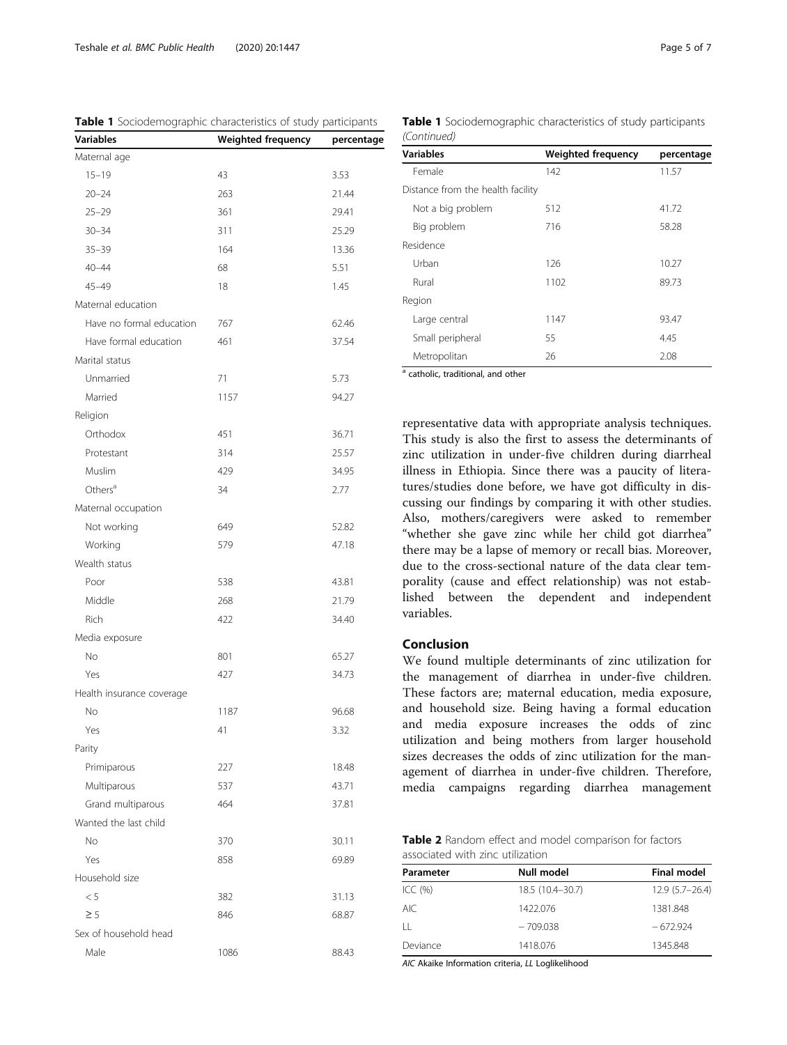| <b>Variables</b>          | bocioacinographic characteristics or staay participants<br><b>Weighted frequency</b> | percentage |
|---------------------------|--------------------------------------------------------------------------------------|------------|
| Maternal age              |                                                                                      |            |
| $15 - 19$                 | 43                                                                                   | 3.53       |
| $20 - 24$                 | 263                                                                                  | 21.44      |
| $25 - 29$                 | 361                                                                                  | 29.41      |
| $30 - 34$                 | 311                                                                                  | 25.29      |
| $35 - 39$                 | 164                                                                                  | 13.36      |
| $40 - 44$                 | 68                                                                                   | 5.51       |
| $45 - 49$                 | 18                                                                                   | 1.45       |
| Maternal education        |                                                                                      |            |
| Have no formal education  | 767                                                                                  | 62.46      |
| Have formal education     | 461                                                                                  | 37.54      |
| Marital status            |                                                                                      |            |
| Unmarried                 | 71                                                                                   | 5.73       |
| Married                   | 1157                                                                                 | 94.27      |
|                           |                                                                                      |            |
| Religion<br>Orthodox      |                                                                                      |            |
|                           | 451                                                                                  | 36.71      |
| Protestant                | 314                                                                                  | 25.57      |
| Muslim                    | 429                                                                                  | 34.95      |
| Others <sup>a</sup>       | 34                                                                                   | 2.77       |
| Maternal occupation       |                                                                                      |            |
| Not working               | 649                                                                                  | 52.82      |
| Working                   | 579                                                                                  | 47.18      |
| Wealth status             |                                                                                      |            |
| Poor                      | 538                                                                                  | 43.81      |
| Middle                    | 268                                                                                  | 21.79      |
| Rich                      | 422                                                                                  | 34.40      |
| Media exposure            |                                                                                      |            |
| No                        | 801                                                                                  | 65.27      |
| Yes                       | 427                                                                                  | 34.73      |
| Health insurance coverage |                                                                                      |            |
| No                        | 1187                                                                                 | 96.68      |
| Yes                       | 41                                                                                   | 3.32       |
| Parity                    |                                                                                      |            |
| Primiparous               | 227                                                                                  | 18.48      |
| Multiparous               | 537                                                                                  | 43.71      |
| Grand multiparous         | 464                                                                                  | 37.81      |
| Wanted the last child     |                                                                                      |            |
| No                        | 370                                                                                  | 30.11      |
| Yes                       | 858                                                                                  | 69.89      |
| Household size            |                                                                                      |            |
| < 5                       | 382                                                                                  | 31.13      |
| $\geq$ 5                  | 846                                                                                  | 68.87      |
| Sex of household head     |                                                                                      |            |
| Male                      | 1086                                                                                 | 88.43      |

<span id="page-4-0"></span>Table 1 Sociodemographic characteristics of study participants Table 1 Sociodemographic characteristics of study participants (Continued)

| <b>Variables</b>                  | <b>Weighted frequency</b> | percentage |  |
|-----------------------------------|---------------------------|------------|--|
| Female                            | 142                       | 11.57      |  |
| Distance from the health facility |                           |            |  |
| Not a big problem                 | 512                       | 41.72      |  |
| Big problem                       | 716                       | 58.28      |  |
| Residence                         |                           |            |  |
| Urban                             | 126                       | 10.27      |  |
| Rural                             | 1102                      | 89.73      |  |
| Region                            |                           |            |  |
| Large central                     | 1147                      | 93.47      |  |
| Small peripheral                  | 55                        | 4.45       |  |
| Metropolitan                      | 26                        | 2.08       |  |

<sup>a</sup> catholic, traditional, and other

representative data with appropriate analysis techniques. This study is also the first to assess the determinants of zinc utilization in under-five children during diarrheal illness in Ethiopia. Since there was a paucity of literatures/studies done before, we have got difficulty in discussing our findings by comparing it with other studies. Also, mothers/caregivers were asked to remember "whether she gave zinc while her child got diarrhea" there may be a lapse of memory or recall bias. Moreover, due to the cross-sectional nature of the data clear temporality (cause and effect relationship) was not established between the dependent and independent variables.

#### Conclusion

We found multiple determinants of zinc utilization for the management of diarrhea in under-five children. These factors are; maternal education, media exposure, and household size. Being having a formal education and media exposure increases the odds of zinc utilization and being mothers from larger household sizes decreases the odds of zinc utilization for the management of diarrhea in under-five children. Therefore, media campaigns regarding diarrhea management

| Table 2 Random effect and model comparison for factors |  |
|--------------------------------------------------------|--|
| associated with zinc utilization                       |  |

| Parameter | Null model       | <b>Final model</b> |
|-----------|------------------|--------------------|
| ICC (%)   | 18.5 (10.4-30.7) | $12.9(5.7-26.4)$   |
| AIC       | 1422.076         | 1381.848           |
| П         | $-709.038$       | $-672.924$         |
| Deviance  | 1418.076         | 1345.848           |

AIC Akaike Information criteria, LL Loglikelihood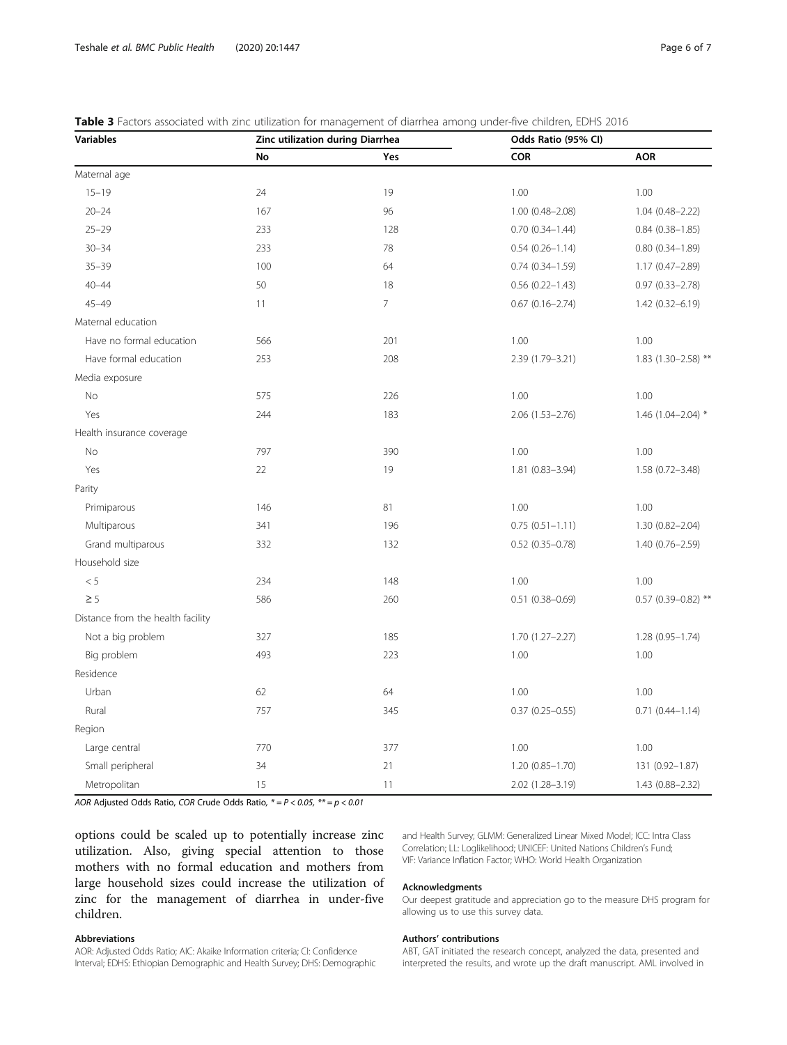| <b>Variables</b>                  | Zinc utilization during Diarrhea |                | Odds Ratio (95% CI)    |                        |  |
|-----------------------------------|----------------------------------|----------------|------------------------|------------------------|--|
|                                   | No                               | Yes            | <b>COR</b>             | <b>AOR</b>             |  |
| Maternal age                      |                                  |                |                        |                        |  |
| $15 - 19$                         | 24                               | 19             | 1.00                   | 1.00                   |  |
| $20 - 24$                         | 167                              | 96             | $1.00(0.48 - 2.08)$    | $1.04(0.48 - 2.22)$    |  |
| $25 - 29$                         | 233                              | 128            | $0.70(0.34 - 1.44)$    | $0.84(0.38 - 1.85)$    |  |
| $30 - 34$                         | 233                              | 78             | $0.54(0.26 - 1.14)$    | $0.80(0.34 - 1.89)$    |  |
| $35 - 39$                         | 100                              | 64             | $0.74$ $(0.34 - 1.59)$ | 1.17 (0.47-2.89)       |  |
| $40 - 44$                         | 50                               | 18             | $0.56(0.22 - 1.43)$    | $0.97(0.33 - 2.78)$    |  |
| $45 - 49$                         | 11                               | $\overline{7}$ | $0.67(0.16 - 2.74)$    | $1.42(0.32 - 6.19)$    |  |
| Maternal education                |                                  |                |                        |                        |  |
| Have no formal education          | 566                              | 201            | 1.00                   | 1.00                   |  |
| Have formal education             | 253                              | 208            | 2.39 (1.79-3.21)       | 1.83 (1.30-2.58) **    |  |
| Media exposure                    |                                  |                |                        |                        |  |
| <b>No</b>                         | 575                              | 226            | 1.00                   | 1.00                   |  |
| Yes                               | 244                              | 183            | $2.06(1.53 - 2.76)$    | 1.46 $(1.04 - 2.04)$ * |  |
| Health insurance coverage         |                                  |                |                        |                        |  |
| No                                | 797                              | 390            | 1.00                   | 1.00                   |  |
| Yes                               | 22                               | 19             | 1.81 (0.83-3.94)       | 1.58 (0.72-3.48)       |  |
| Parity                            |                                  |                |                        |                        |  |
| Primiparous                       | 146                              | 81             | 1.00                   | 1.00                   |  |
| Multiparous                       | 341                              | 196            | $0.75(0.51 - 1.11)$    | 1.30 (0.82-2.04)       |  |
| Grand multiparous                 | 332                              | 132            | $0.52$ (0.35-0.78)     | 1.40 (0.76-2.59)       |  |
| Household size                    |                                  |                |                        |                        |  |
| < 5                               | 234                              | 148            | 1.00                   | 1.00                   |  |
| $\geq$ 5                          | 586                              | 260            | $0.51(0.38 - 0.69)$    | $0.57$ (0.39-0.82) **  |  |
| Distance from the health facility |                                  |                |                        |                        |  |
| Not a big problem                 | 327                              | 185            | 1.70 (1.27-2.27)       | $1.28(0.95 - 1.74)$    |  |
| Big problem                       | 493                              | 223            | 1.00                   | 1.00                   |  |
| Residence                         |                                  |                |                        |                        |  |
| Urban                             | 62                               | 64             | 1.00                   | 1.00                   |  |
| Rural                             | 757                              | 345            | $0.37(0.25 - 0.55)$    | $0.71$ $(0.44 - 1.14)$ |  |
| Region                            |                                  |                |                        |                        |  |
| Large central                     | 770                              | 377            | 1.00                   | 1.00                   |  |
| Small peripheral                  | 34                               | 21             | 1.20 (0.85-1.70)       | 131 (0.92-1.87)        |  |
| Metropolitan                      | 15                               | 11             | 2.02 (1.28-3.19)       | 1.43 (0.88-2.32)       |  |

<span id="page-5-0"></span>

|  | <b>Table 3</b> Factors associated with zinc utilization for management of diarrhea among under-five children. EDHS 2016 |  |  |
|--|-------------------------------------------------------------------------------------------------------------------------|--|--|
|  |                                                                                                                         |  |  |

AOR Adjusted Odds Ratio, COR Crude Odds Ratio,  $* = P < 0.05$ ,  $** = p < 0.01$ 

options could be scaled up to potentially increase zinc utilization. Also, giving special attention to those mothers with no formal education and mothers from large household sizes could increase the utilization of zinc for the management of diarrhea in under-five children.

#### Abbreviations

AOR: Adjusted Odds Ratio; AIC: Akaike Information criteria; CI: Confidence Interval; EDHS: Ethiopian Demographic and Health Survey; DHS: Demographic and Health Survey; GLMM: Generalized Linear Mixed Model; ICC: Intra Class Correlation; LL: Loglikelihood; UNICEF: United Nations Children's Fund; VIF: Variance Inflation Factor; WHO: World Health Organization

#### Acknowledgments

Our deepest gratitude and appreciation go to the measure DHS program for allowing us to use this survey data.

#### Authors' contributions

ABT, GAT initiated the research concept, analyzed the data, presented and interpreted the results, and wrote up the draft manuscript. AML involved in